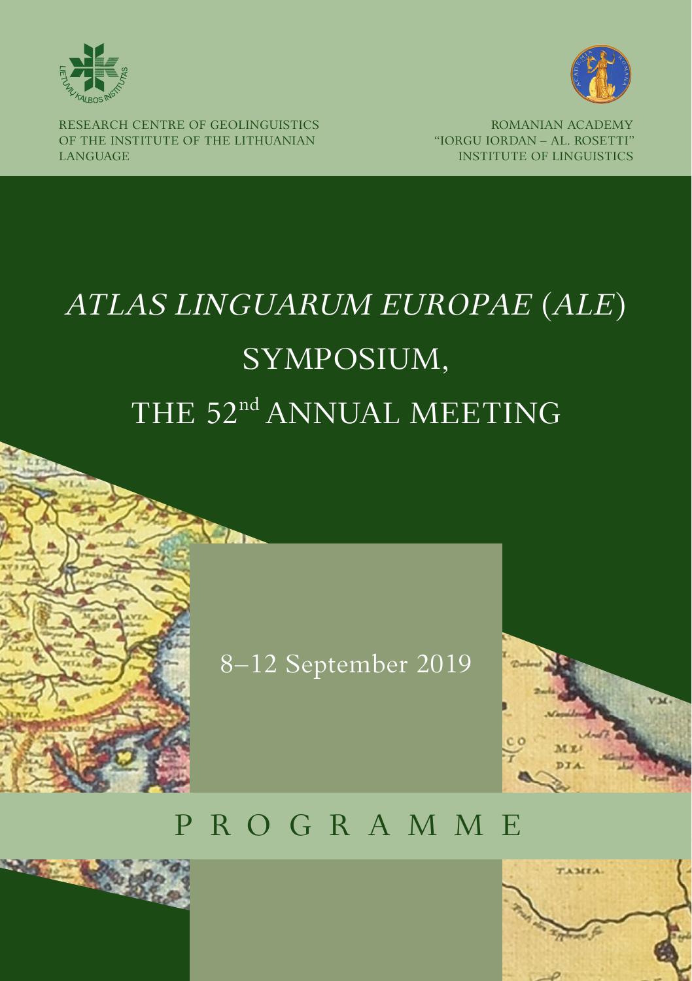



RESEARCH CENTRE OF GEOLINGUISTICS OF THE INSTITUTE OF THE LITHUANIAN LANGUAGE

ROMANIAN ACADEMY "IORGU IORDAN – AL. ROSETTI" INSTITUTE OF LINGUISTICS

# *ATLAS LINGUARUM EUROPAE* (*ALE*) SYMPOSIUM, THE 52<sup>nd</sup> ANNUAL MEETING

8–12 September 2019

# P R O G R A M M E



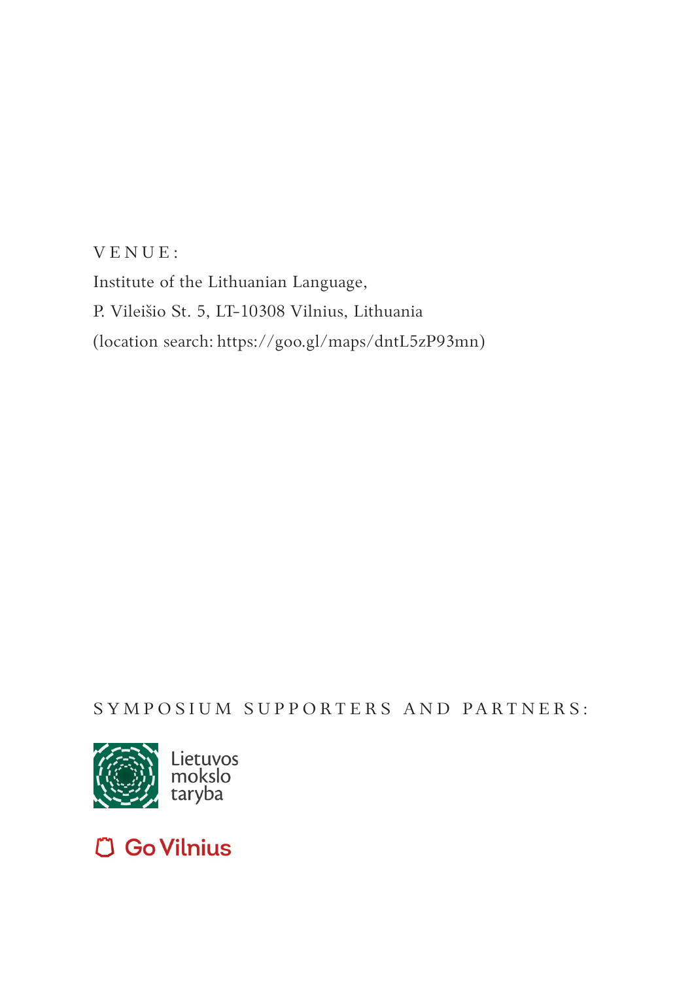V E N U E : Institute of the Lithuanian Language, P. Vileišio St. 5, LT-10308 Vilnius, Lithuania (location search: https://goo.gl/maps/dntL5zP93mn)

SYMPOSIUM SUPPORTERS AND PARTNERS:



## **C Go Vilnius**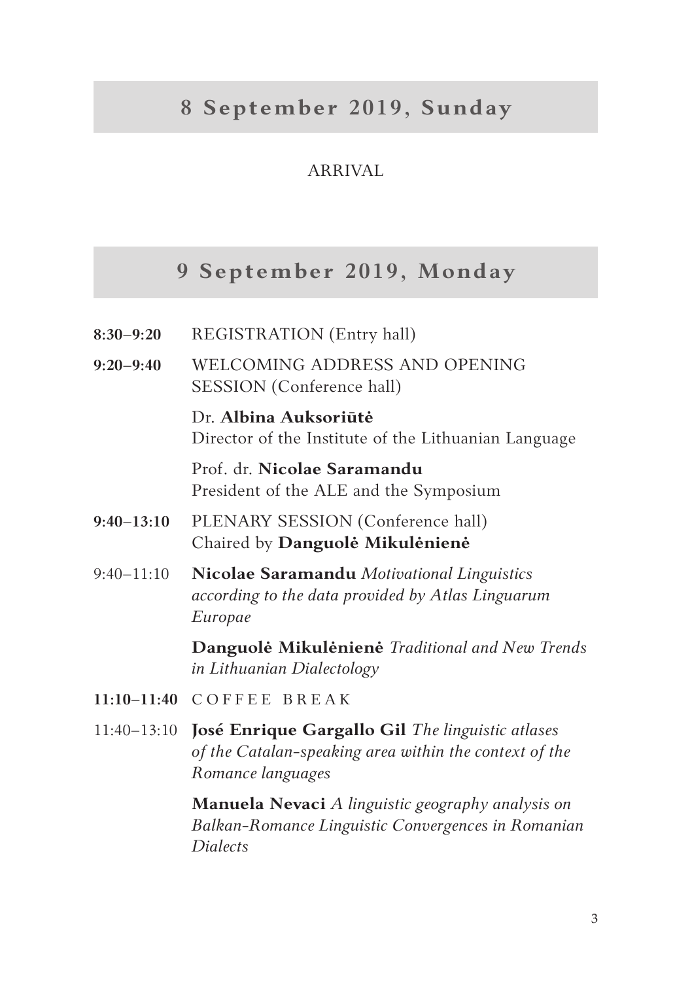### **8 September 2019, Sunday**

### ARRIVAL

### **9 September 2019, Monday**

| $8:30-9:20$     | REGISTRATION (Entry hall)                                                                                                       |
|-----------------|---------------------------------------------------------------------------------------------------------------------------------|
| $9:20-9:40$     | WELCOMING ADDRESS AND OPENING<br>SESSION (Conference hall)                                                                      |
|                 | Dr. Albina Auksoriūtė<br>Director of the Institute of the Lithuanian Language                                                   |
|                 | Prof. dr. Nicolae Saramandu<br>President of the ALE and the Symposium                                                           |
| $9:40-13:10$    | PLENARY SESSION (Conference hall)<br>Chaired by Danguolė Mikulėnienė                                                            |
| $9:40 - 11:10$  | Nicolae Saramandu Motivational Linguistics<br>according to the data provided by Atlas Linguarum<br>Europae                      |
|                 | Danguolė Mikulėnienė Traditional and New Trends<br>in Lithuanian Dialectology                                                   |
|                 | 11:10-11:40 COFFEE BREAK                                                                                                        |
| $11:40 - 13:10$ | José Enrique Gargallo Gil The linguistic atlases<br>of the Catalan-speaking area within the context of the<br>Romance languages |

**Manuela Nevaci** *A linguistic geography analysis on Balkan-Romance Linguistic Convergences in Romanian Dialects*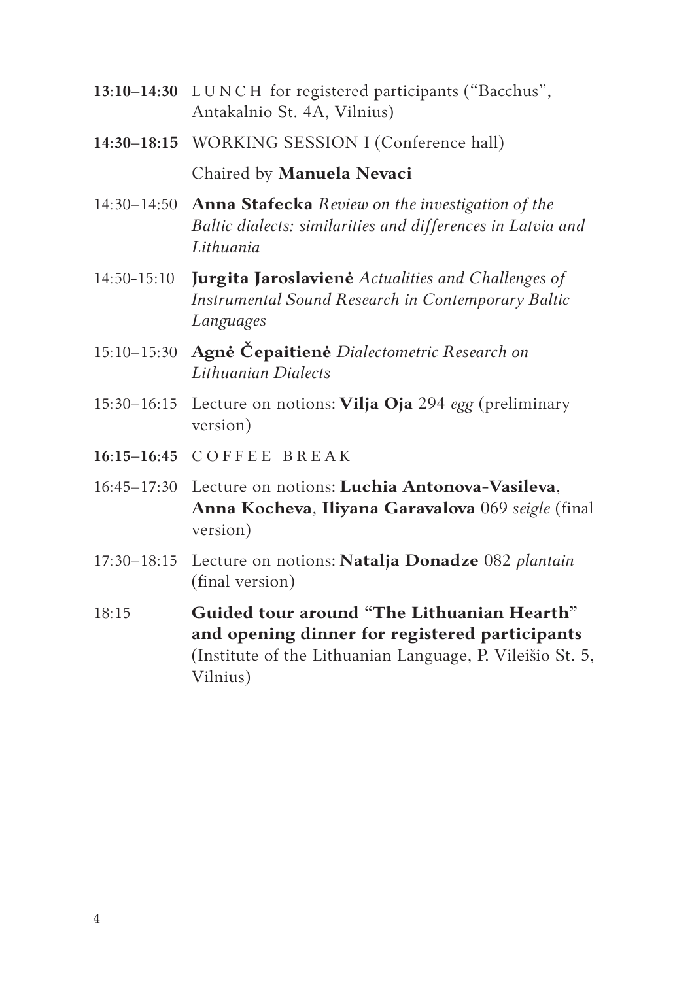- **13:10–14:30** L U N C H for registered participants ("Bacchus", Antakalnio St. 4A, Vilnius)
- **14:30–18:15** WORKING SESSION I (Conference hall) Chaired by **Manuela Nevaci**
- 14:30–14:50 **Anna Stafecka** *Review on the investigation of the Baltic dialects: similarities and differences in Latvia and Lithuania*
- 14:50-15:10 **Jurgita Jaroslavienė** *Actualities and Challenges of Instrumental Sound Research in Contemporary Baltic Languages*
- 15:10–15:30 **Agnė Čepaitienė** *Dialectometric Research on Lithuanian Dialects*
- 15:30–16:15 Lecture on notions: **Vilja Oja** 294 *egg* (preliminary version)
- **16:15–16:45** C O F F E E B R E A K
- 16:45–17:30 Lecture on notions: **Luchia Antonova-Vasileva**, **Anna Kocheva**, **Iliyana Garavalova** 069 *seigle* (final version)
- 17:30–18:15 Lecture on notions: **Natalja Donadze** 082 *plantain* (final version)
- 18:15 **Guided tour around "The Lithuanian Hearth" and opening dinner for registered participants**  (Institute of the Lithuanian Language, P. Vileišio St. 5, Vilnius)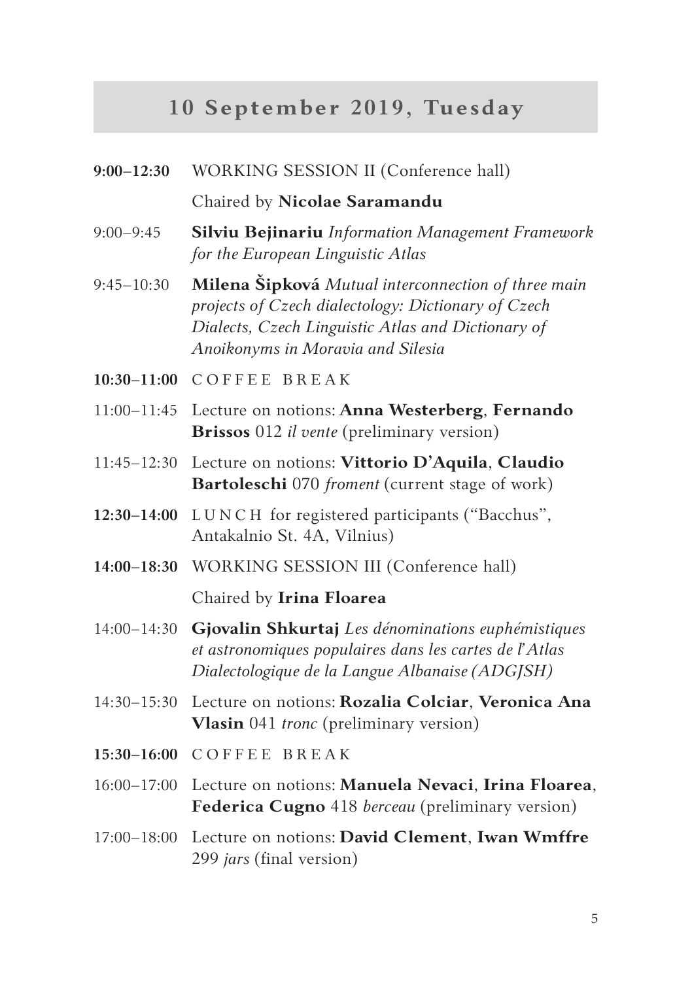# **10 September 2019, Tuesday**

| $9:00 - 12:30$  | WORKING SESSION II (Conference hall)                                                                                                                                                                  |
|-----------------|-------------------------------------------------------------------------------------------------------------------------------------------------------------------------------------------------------|
|                 | Chaired by Nicolae Saramandu                                                                                                                                                                          |
| $9:00 - 9:45$   | Silviu Bejinariu Information Management Framework<br>for the European Linguistic Atlas                                                                                                                |
| $9:45 - 10:30$  | Milena Šipková Mutual interconnection of three main<br>projects of Czech dialectology: Dictionary of Czech<br>Dialects, Czech Linguistic Atlas and Dictionary of<br>Anoikonyms in Moravia and Silesia |
| $10:30 - 11:00$ | COFFEE BREAK                                                                                                                                                                                          |
| $11:00 - 11:45$ | Lecture on notions: Anna Westerberg, Fernando<br>Brissos 012 il vente (preliminary version)                                                                                                           |
| $11:45 - 12:30$ | Lecture on notions: Vittorio D'Aquila, Claudio<br>Bartoleschi 070 froment (current stage of work)                                                                                                     |
| $12:30 - 14:00$ | LUNCH for registered participants ("Bacchus",<br>Antakalnio St. 4A, Vilnius)                                                                                                                          |
| $14:00 - 18:30$ | WORKING SESSION III (Conference hall)                                                                                                                                                                 |
|                 | Chaired by Irina Floarea                                                                                                                                                                              |
| $14:00 - 14:30$ | Gjovalin Shkurtaj Les dénominations euphémistiques<br>et astronomiques populaires dans les cartes de l'Atlas<br>Dialectologique de la Langue Albanaise (ADGJSH)                                       |
| $14:30 - 15:30$ | Lecture on notions: Rozalia Colciar, Veronica Ana<br>Vlasin 041 tronc (preliminary version)                                                                                                           |
| $15:30 - 16:00$ | <b>COFFEE BREAK</b>                                                                                                                                                                                   |
| $16:00 - 17:00$ | Lecture on notions: Manuela Nevaci, Irina Floarea,<br>Federica Cugno 418 berceau (preliminary version)                                                                                                |
| $17:00 - 18:00$ | Lecture on notions: David Clement, Iwan Wmffre<br>299 jars (final version)                                                                                                                            |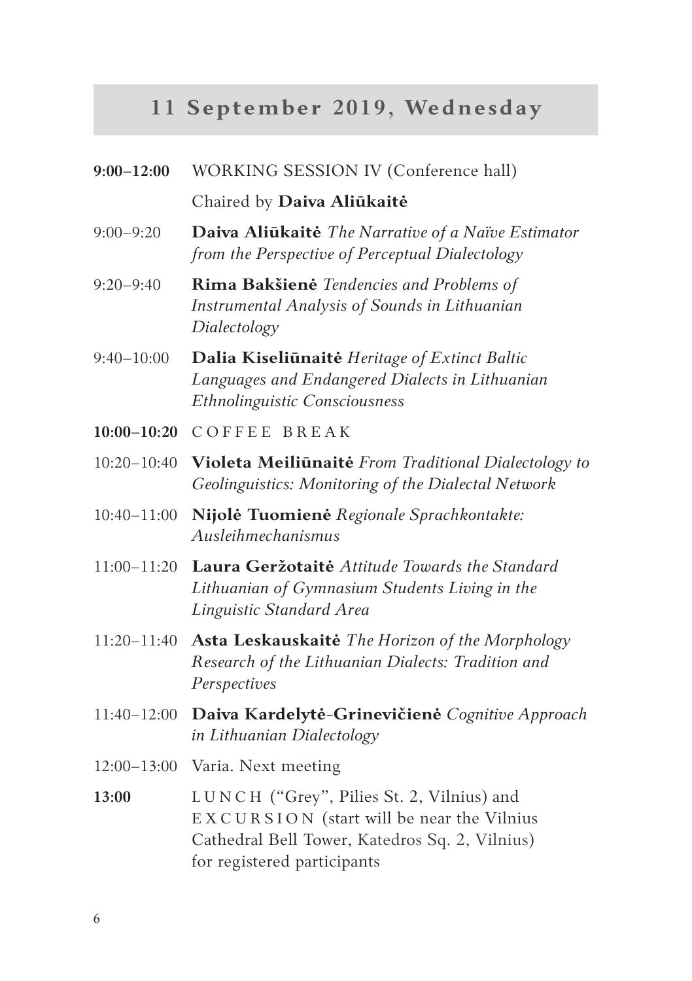# **11 September 2019, Wednesday**

| $9:00 - 12:00$  | WORKING SESSION IV (Conference hall)                                                                                                                                    |
|-----------------|-------------------------------------------------------------------------------------------------------------------------------------------------------------------------|
|                 | Chaired by Daiva Aliūkaitė                                                                                                                                              |
| $9:00 - 9:20$   | Daiva Aliūkaitė The Narrative of a Naïve Estimator<br>from the Perspective of Perceptual Dialectology                                                                   |
| $9:20 - 9:40$   | Rima Bakšienė Tendencies and Problems of<br>Instrumental Analysis of Sounds in Lithuanian<br>Dialectology                                                               |
| $9:40 - 10:00$  | Dalia Kiseliūnaitė Heritage of Extinct Baltic<br>Languages and Endangered Dialects in Lithuanian<br>Ethnolinguistic Consciousness                                       |
| $10:00 - 10:20$ | <b>COFFEE BREAK</b>                                                                                                                                                     |
| $10:20 - 10:40$ | Violeta Meiliūnaitė From Traditional Dialectology to<br>Geolinguistics: Monitoring of the Dialectal Network                                                             |
| $10:40 - 11:00$ | Nijolė Tuomienė Regionale Sprachkontakte:<br>Ausleihmechanismus                                                                                                         |
| $11:00 - 11:20$ | Laura Geržotaitė Attitude Towards the Standard<br>Lithuanian of Gymnasium Students Living in the<br>Linguistic Standard Area                                            |
| 11:20-11:40     | Asta Leskauskaitė The Horizon of the Morphology<br>Research of the Lithuanian Dialects: Tradition and<br>Perspectives                                                   |
| 11:40-12:00     | Daiva Kardelytė-Grinevičienė Cognitive Approach<br>in Lithuanian Dialectology                                                                                           |
| $12:00 - 13:00$ | Varia. Next meeting                                                                                                                                                     |
| 13:00           | LUNCH ("Grey", Pilies St. 2, Vilnius) and<br>EXCURSION (start will be near the Vilnius<br>Cathedral Bell Tower, Katedros Sq. 2, Vilnius)<br>for registered participants |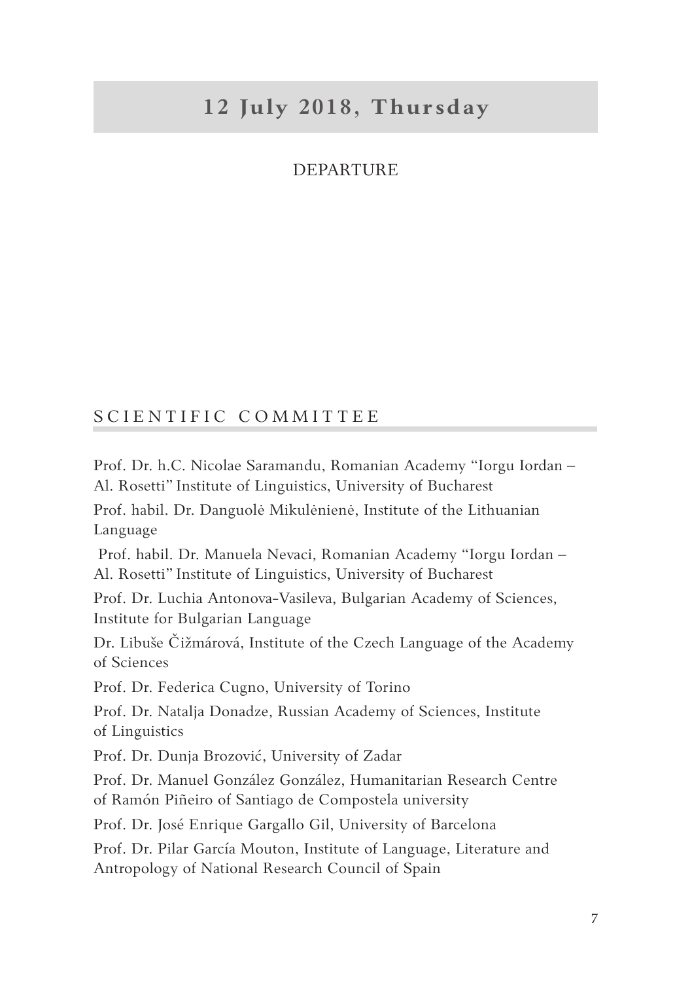### **12 July 2018, Thursday**

#### **DEPARTURE**

#### SCIENTIFIC COMMITTEE

Prof. Dr. h.C. Nicolae Saramandu, Romanian Academy "Iorgu Iordan – Al. Rosetti" Institute of Linguistics, University of Bucharest

Prof. habil. Dr. Danguolė Mikulėnienė, Institute of the Lithuanian Language

 Prof. habil. Dr. Manuela Nevaci, Romanian Academy "Iorgu Iordan – Al. Rosetti" Institute of Linguistics, University of Bucharest

Prof. Dr. Luchia Antonova-Vasileva, Bulgarian Academy of Sciences, Institute for Bulgarian Language

Dr. Libuše Čižmárová, Institute of the Czech Language of the Academy of Sciences

Prof. Dr. Federica Cugno, University of Torino

Prof. Dr. Natalja Donadze, Russian Academy of Sciences, Institute of Linguistics

Prof. Dr. Dunja Brozović, University of Zadar

Prof. Dr. Manuel González González, Humanitarian Research Centre of Ramón Piñeiro of Santiago de Compostela university

Prof. Dr. José Enrique Gargallo Gil, University of Barcelona

Prof. Dr. Pilar García Mouton, Institute of Language, Literature and Antropology of National Research Council of Spain